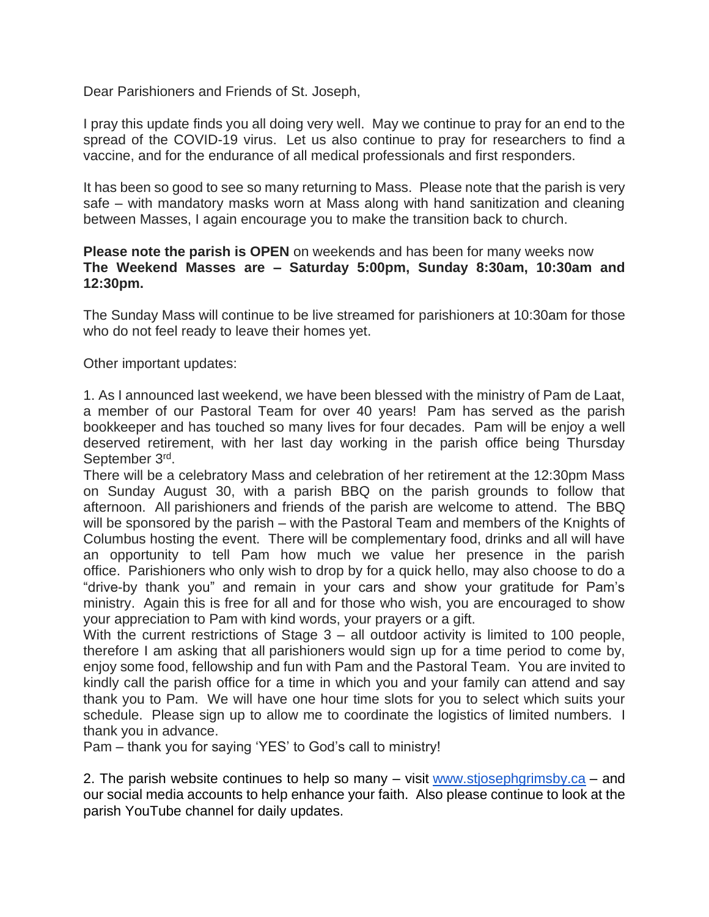Dear Parishioners and Friends of St. Joseph,

I pray this update finds you all doing very well. May we continue to pray for an end to the spread of the COVID-19 virus. Let us also continue to pray for researchers to find a vaccine, and for the endurance of all medical professionals and first responders.

It has been so good to see so many returning to Mass. Please note that the parish is very safe – with mandatory masks worn at Mass along with hand sanitization and cleaning between Masses, I again encourage you to make the transition back to church.

## **Please note the parish is OPEN** on weekends and has been for many weeks now **The Weekend Masses are – Saturday 5:00pm, Sunday 8:30am, 10:30am and 12:30pm.**

The Sunday Mass will continue to be live streamed for parishioners at 10:30am for those who do not feel ready to leave their homes yet.

Other important updates:

1. As I announced last weekend, we have been blessed with the ministry of Pam de Laat, a member of our Pastoral Team for over 40 years! Pam has served as the parish bookkeeper and has touched so many lives for four decades. Pam will be enjoy a well deserved retirement, with her last day working in the parish office being Thursday September 3rd.

There will be a celebratory Mass and celebration of her retirement at the 12:30pm Mass on Sunday August 30, with a parish BBQ on the parish grounds to follow that afternoon. All parishioners and friends of the parish are welcome to attend. The BBQ will be sponsored by the parish – with the Pastoral Team and members of the Knights of Columbus hosting the event. There will be complementary food, drinks and all will have an opportunity to tell Pam how much we value her presence in the parish office. Parishioners who only wish to drop by for a quick hello, may also choose to do a "drive-by thank you" and remain in your cars and show your gratitude for Pam's ministry. Again this is free for all and for those who wish, you are encouraged to show your appreciation to Pam with kind words, your prayers or a gift.

With the current restrictions of Stage 3 – all outdoor activity is limited to 100 people, therefore I am asking that all parishioners would sign up for a time period to come by, enjoy some food, fellowship and fun with Pam and the Pastoral Team. You are invited to kindly call the parish office for a time in which you and your family can attend and say thank you to Pam. We will have one hour time slots for you to select which suits your schedule. Please sign up to allow me to coordinate the logistics of limited numbers. I thank you in advance.

Pam – thank you for saying 'YES' to God's call to ministry!

2. The parish website continues to help so many – visit [www.stjosephgrimsby.ca](http://www.stjosephgrimsby.ca/) – and our social media accounts to help enhance your faith. Also please continue to look at the parish YouTube channel for daily updates.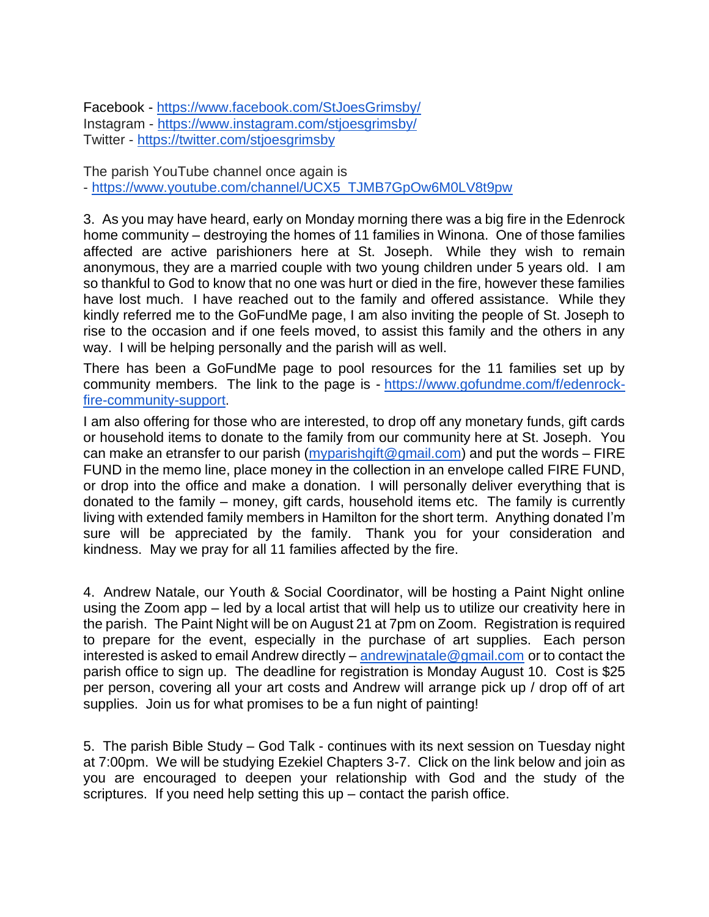Facebook - <https://www.facebook.com/StJoesGrimsby/> Instagram - <https://www.instagram.com/stjoesgrimsby/> Twitter - <https://twitter.com/stjoesgrimsby>

The parish YouTube channel once again is - [https://www.youtube.com/channel/UCX5\\_TJMB7GpOw6M0LV8t9pw](https://www.youtube.com/channel/UCX5_TJMB7GpOw6M0LV8t9pw)

3. As you may have heard, early on Monday morning there was a big fire in the Edenrock home community – destroying the homes of 11 families in Winona. One of those families affected are active parishioners here at St. Joseph. While they wish to remain anonymous, they are a married couple with two young children under 5 years old. I am so thankful to God to know that no one was hurt or died in the fire, however these families have lost much. I have reached out to the family and offered assistance. While they kindly referred me to the GoFundMe page, I am also inviting the people of St. Joseph to rise to the occasion and if one feels moved, to assist this family and the others in any way. I will be helping personally and the parish will as well.

There has been a GoFundMe page to pool resources for the 11 families set up by community members. The link to the page is - [https://www.gofundme.com/f/edenrock](https://www.gofundme.com/f/edenrock-fire-community-support)[fire-community-support.](https://www.gofundme.com/f/edenrock-fire-community-support)

I am also offering for those who are interested, to drop off any monetary funds, gift cards or household items to donate to the family from our community here at St. Joseph. You can make an etransfer to our parish [\(myparishgift@gmail.com\)](mailto:myparishgift@gmail.com) and put the words – FIRE FUND in the memo line, place money in the collection in an envelope called FIRE FUND, or drop into the office and make a donation. I will personally deliver everything that is donated to the family – money, gift cards, household items etc. The family is currently living with extended family members in Hamilton for the short term. Anything donated I'm sure will be appreciated by the family. Thank you for your consideration and kindness. May we pray for all 11 families affected by the fire.

4. Andrew Natale, our Youth & Social Coordinator, will be hosting a Paint Night online using the Zoom app – led by a local artist that will help us to utilize our creativity here in the parish. The Paint Night will be on August 21 at 7pm on Zoom. Registration is required to prepare for the event, especially in the purchase of art supplies. Each person interested is asked to email Andrew directly – andrew inatale @gmail.com or to contact the parish office to sign up. The deadline for registration is Monday August 10. Cost is \$25 per person, covering all your art costs and Andrew will arrange pick up / drop off of art supplies. Join us for what promises to be a fun night of painting!

5. The parish Bible Study – God Talk - continues with its next session on Tuesday night at 7:00pm. We will be studying Ezekiel Chapters 3-7. Click on the link below and join as you are encouraged to deepen your relationship with God and the study of the scriptures. If you need help setting this up – contact the parish office.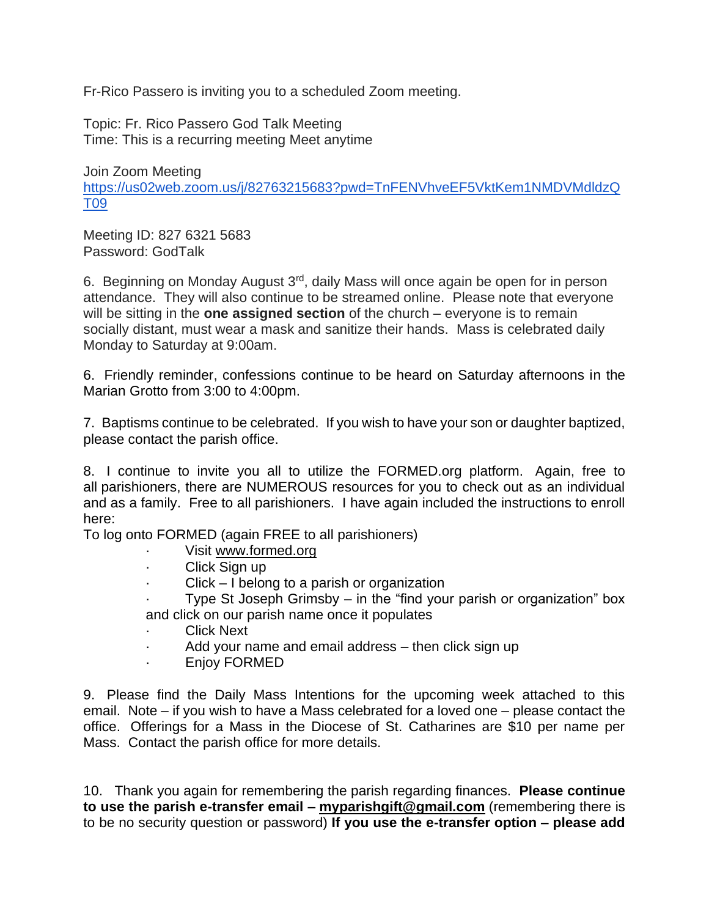Fr-Rico Passero is inviting you to a scheduled Zoom meeting.

Topic: Fr. Rico Passero God Talk Meeting Time: This is a recurring meeting Meet anytime

Join Zoom Meeting [https://us02web.zoom.us/j/82763215683?pwd=TnFENVhveEF5VktKem1NMDVMdldzQ](https://us02web.zoom.us/j/82763215683?pwd=TnFENVhveEF5VktKem1NMDVMdldzQT09) [T09](https://us02web.zoom.us/j/82763215683?pwd=TnFENVhveEF5VktKem1NMDVMdldzQT09)

Meeting ID: 827 6321 5683 Password: GodTalk

6. Beginning on Monday August 3rd, daily Mass will once again be open for in person attendance. They will also continue to be streamed online. Please note that everyone will be sitting in the **one assigned section** of the church – everyone is to remain socially distant, must wear a mask and sanitize their hands. Mass is celebrated daily Monday to Saturday at 9:00am.

6. Friendly reminder, confessions continue to be heard on Saturday afternoons in the Marian Grotto from 3:00 to 4:00pm.

7. Baptisms continue to be celebrated. If you wish to have your son or daughter baptized, please contact the parish office.

8. I continue to invite you all to utilize the FORMED.org platform. Again, free to all parishioners, there are NUMEROUS resources for you to check out as an individual and as a family. Free to all parishioners. I have again included the instructions to enroll here:

To log onto FORMED (again FREE to all parishioners)

- Visit [www.formed.org](http://www.formed.org/)
- Click Sign up
- · Click I belong to a parish or organization
- Type St Joseph Grimsby  $-$  in the "find your parish or organization" box and click on our parish name once it populates
- **Click Next**
- Add your name and email address then click sign up
- · Enjoy FORMED

9. Please find the Daily Mass Intentions for the upcoming week attached to this email. Note – if you wish to have a Mass celebrated for a loved one – please contact the office. Offerings for a Mass in the Diocese of St. Catharines are \$10 per name per Mass. Contact the parish office for more details.

10. Thank you again for remembering the parish regarding finances. **Please continue to use the parish e-transfer email – [myparishgift@gmail.com](mailto:myparishgift@gmail.com)** (remembering there is to be no security question or password) **If you use the e-transfer option – please add**